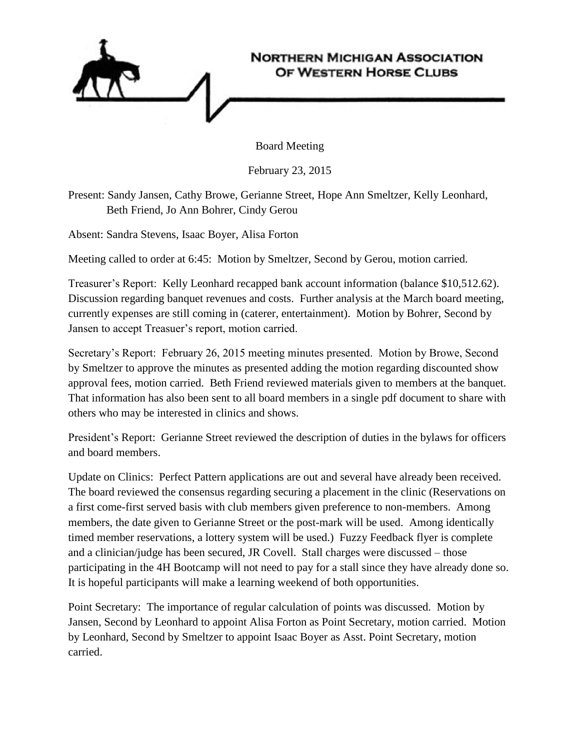

Board Meeting

February 23, 2015

Present: Sandy Jansen, Cathy Browe, Gerianne Street, Hope Ann Smeltzer, Kelly Leonhard, Beth Friend, Jo Ann Bohrer, Cindy Gerou

Absent: Sandra Stevens, Isaac Boyer, Alisa Forton

Meeting called to order at 6:45: Motion by Smeltzer, Second by Gerou, motion carried.

Treasurer's Report: Kelly Leonhard recapped bank account information (balance \$10,512.62). Discussion regarding banquet revenues and costs. Further analysis at the March board meeting, currently expenses are still coming in (caterer, entertainment). Motion by Bohrer, Second by Jansen to accept Treasuer's report, motion carried.

Secretary's Report: February 26, 2015 meeting minutes presented. Motion by Browe, Second by Smeltzer to approve the minutes as presented adding the motion regarding discounted show approval fees, motion carried. Beth Friend reviewed materials given to members at the banquet. That information has also been sent to all board members in a single pdf document to share with others who may be interested in clinics and shows.

President's Report: Gerianne Street reviewed the description of duties in the bylaws for officers and board members.

Update on Clinics: Perfect Pattern applications are out and several have already been received. The board reviewed the consensus regarding securing a placement in the clinic (Reservations on a first come-first served basis with club members given preference to non-members. Among members, the date given to Gerianne Street or the post-mark will be used. Among identically timed member reservations, a lottery system will be used.) Fuzzy Feedback flyer is complete and a clinician/judge has been secured, JR Covell. Stall charges were discussed – those participating in the 4H Bootcamp will not need to pay for a stall since they have already done so. It is hopeful participants will make a learning weekend of both opportunities.

Point Secretary: The importance of regular calculation of points was discussed. Motion by Jansen, Second by Leonhard to appoint Alisa Forton as Point Secretary, motion carried. Motion by Leonhard, Second by Smeltzer to appoint Isaac Boyer as Asst. Point Secretary, motion carried.